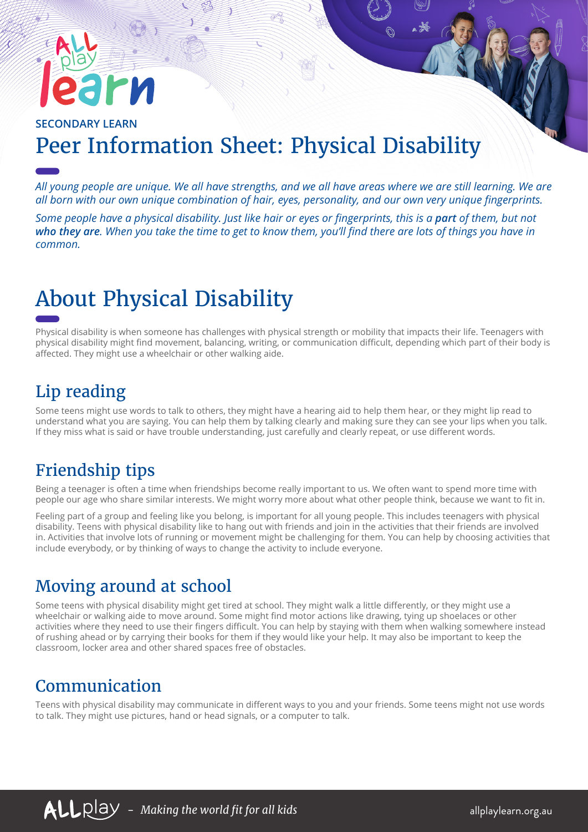# rи

### **SECONDARY LEARN** Peer Information Sheet: Physical Disability

*All young people are unique. We all have strengths, and we all have areas where we are still learning. We are all born with our own unique combination of hair, eyes, personality, and our own very unique fingerprints.*

*Some people have a physical disability. Just like hair or eyes or fingerprints, this is a part of them, but not who they are. When you take the time to get to know them, you'll find there are lots of things you have in common.*

# About Physical Disability

Physical disability is when someone has challenges with physical strength or mobility that impacts their life. Teenagers with physical disability might find movement, balancing, writing, or communication difficult, depending which part of their body is affected. They might use a wheelchair or other walking aide.

#### Lip reading

Some teens might use words to talk to others, they might have a hearing aid to help them hear, or they might lip read to understand what you are saying. You can help them by talking clearly and making sure they can see your lips when you talk. If they miss what is said or have trouble understanding, just carefully and clearly repeat, or use different words.

# Friendship tips

Being a teenager is often a time when friendships become really important to us. We often want to spend more time with people our age who share similar interests. We might worry more about what other people think, because we want to fit in.

Feeling part of a group and feeling like you belong, is important for all young people. This includes teenagers with physical disability. Teens with physical disability like to hang out with friends and join in the activities that their friends are involved in. Activities that involve lots of running or movement might be challenging for them. You can help by choosing activities that include everybody, or by thinking of ways to change the activity to include everyone.

#### Moving around at school

Some teens with physical disability might get tired at school. They might walk a little differently, or they might use a wheelchair or walking aide to move around. Some might find motor actions like drawing, tying up shoelaces or other activities where they need to use their fingers difficult. You can help by staying with them when walking somewhere instead of rushing ahead or by carrying their books for them if they would like your help. It may also be important to keep the classroom, locker area and other shared spaces free of obstacles.

#### Communication

Teens with physical disability may communicate in different ways to you and your friends. Some teens might not use words to talk. They might use pictures, hand or head signals, or a computer to talk.